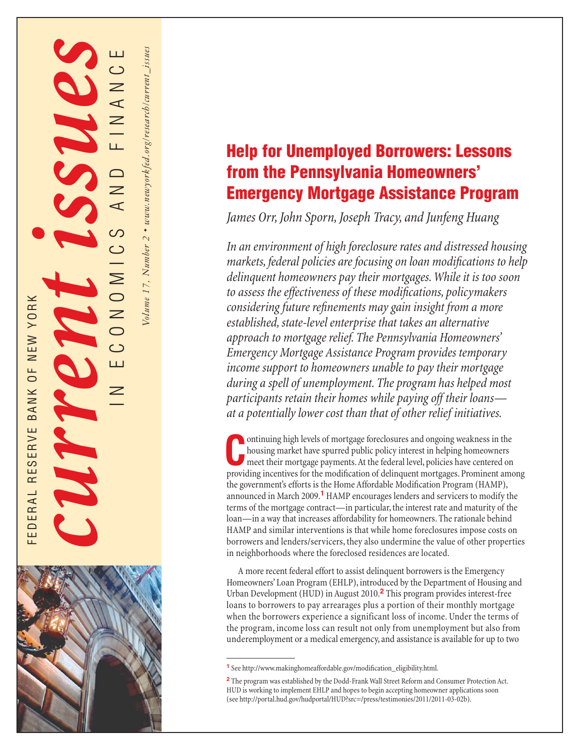# **Help for Unemployed Borrowers: Lessons from the Pennsylvania Homeowners' Emergency Mortgage Assistance Program**

*James Orr, John Sporn, Joseph Tracy, and Junfeng Huang*

FEDERAL RESERVE AND RESERVE BANK OF NEW YORK CONSIDERS

EDERAL RESERVE BANK OF NEW YORK

IN ECONOMICS AND FINANCE

()<br>()

 $\geq$ 

ш

 $\mathsf{\geq}$ 

*Volume 17, Number 2* ✦ *www.newyorkfed.org/research/current\_issues*

Volume 17, Number 2 + www.newyorkfed.org/research/current\_issues

*In an environment of high foreclosure rates and distressed housing markets, federal policies are focusing on loan modifications to help delinquent homeowners pay their mortgages. While it is too soon*  to assess the effectiveness of these modifications, policymakers *considering future refinements may gain insight from a more established, state-level enterprise that takes an alternative approach to mortgage relief. The Pennsylvania Homeowners' Emergency Mortgage Assistance Program provides temporary income support to homeowners unable to pay their mortgage during a spell of unemployment. The program has helped most participants retain their homes while paying off their loans at a potentially lower cost than that of other relief initiatives.*

ontinuing high levels of mortgage foreclosures and ongoing weakness in the housing market have spurred public policy interest in helping homeowners meet their mortgage payments. At the federal level, policies have centered housing market have spurred public policy interest in helping homeowners meet their mortgage payments. At the federal level, policies have centered on providing incentives for the modification of delinquent mortgages. Prominent among the government's efforts is the Home Affordable Modification Program (HAMP), announced in March 2009.**1** HAMP encourages lenders and servicers to modify the terms of the mortgage contract—in particular, the interest rate and maturity of the loan—in a way that increases affordability for homeowners. The rationale behind HAMP and similar interventions is that while home foreclosures impose costs on borrowers and lenders/servicers, they also undermine the value of other properties in neighborhoods where the foreclosed residences are located.

A more recent federal effort to assist delinquent borrowers is the Emergency Homeowners' Loan Program (EHLP), introduced by the Department of Housing and Urban Development (HUD) in August 2010.**<sup>2</sup>** This program provides interest-free loans to borrowers to pay arrearages plus a portion of their monthly mortgage when the borrowers experience a significant loss of income. Under the terms of the program, income loss can result not only from unemployment but also from underemployment or a medical emergency, and assistance is available for up to two

<sup>&</sup>lt;sup>1</sup> See http://www.makinghomeaffordable.gov/modification\_eligibility.html.

**<sup>2</sup>**The program was established by the Dodd-Frank Wall Street Reform and Consumer Protection Act. HUD is working to implement EHLP and hopes to begin accepting homeowner applications soon (see http://portal.hud.gov/hudportal/HUD?src=/press/testimonies/2011/2011-03-02b).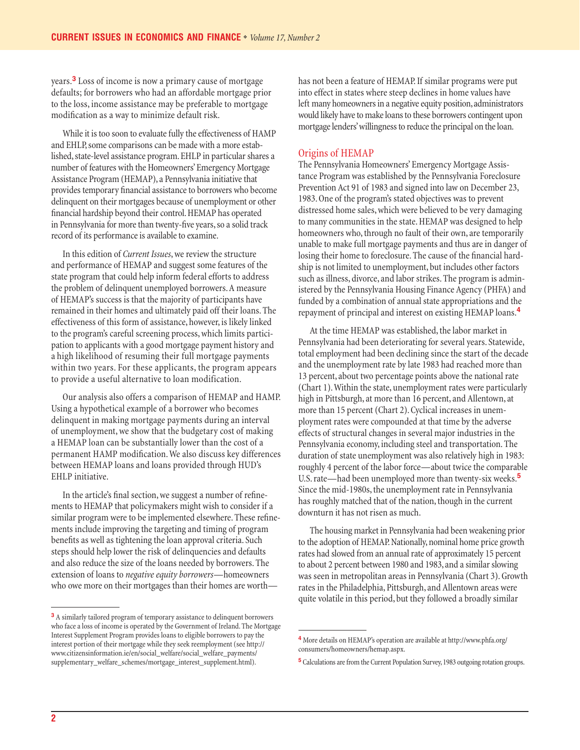years.**3** Loss of income is now a primary cause of mortgage defaults; for borrowers who had an affordable mortgage prior to the loss, income assistance may be preferable to mortgage modification as a way to minimize default risk.

While it is too soon to evaluate fully the effectiveness of HAMP and EHLP, some comparisons can be made with a more established, state-level assistance program. EHLP in particular shares a number of features with the Homeowners' Emergency Mortgage Assistance Program (HEMAP), a Pennsylvania initiative that provides temporary financial assistance to borrowers who become delinquent on their mortgages because of unemployment or other financial hardship beyond their control. HEMAP has operated in Pennsylvania for more than twenty-five years, so a solid track record of its performance is available to examine.

In this edition of *Current Issues*, we review the structure and performance of HEMAP and suggest some features of the state program that could help inform federal efforts to address the problem of delinquent unemployed borrowers. A measure of HEMAP's success is that the majority of participants have remained in their homes and ultimately paid off their loans. The effectiveness of this form of assistance, however, is likely linked to the program's careful screening process, which limits participation to applicants with a good mortgage payment history and a high likelihood of resuming their full mortgage payments within two years. For these applicants, the program appears to provide a useful alternative to loan modification.

Our analysis also offers a comparison of HEMAP and HAMP. Using a hypothetical example of a borrower who becomes delinquent in making mortgage payments during an interval of unemployment, we show that the budgetary cost of making a HEMAP loan can be substantially lower than the cost of a permanent HAMP modification. We also discuss key differences between HEMAP loans and loans provided through HUD's EHLP initiative.

In the article's final section, we suggest a number of refinements to HEMAP that policymakers might wish to consider if a similar program were to be implemented elsewhere. These refinements include improving the targeting and timing of program benefits as well as tightening the loan approval criteria. Such steps should help lower the risk of delinquencies and defaults and also reduce the size of the loans needed by borrowers. The extension of loans to *negative equity borrowers*—homeowners who owe more on their mortgages than their homes are worthhas not been a feature of HEMAP. If similar programs were put into effect in states where steep declines in home values have left many homeowners in a negative equity position, administrators would likely have to make loans to these borrowers contingent upon mortgage lenders' willingness to reduce the principal on the loan.

## Origins of HEMAP

The Pennsylvania Homeowners' Emergency Mortgage Assistance Program was established by the Pennsylvania Foreclosure Prevention Act 91 of 1983 and signed into law on December 23, 1983. One of the program's stated objectives was to prevent distressed home sales, which were believed to be very damaging to many communities in the state. HEMAP was designed to help homeowners who, through no fault of their own, are temporarily unable to make full mortgage payments and thus are in danger of losing their home to foreclosure. The cause of the financial hardship is not limited to unemployment, but includes other factors such as illness, divorce, and labor strikes. The program is administered by the Pennsylvania Housing Finance Agency (PHFA) and funded by a combination of annual state appropriations and the repayment of principal and interest on existing HEMAP loans.**<sup>4</sup>**

At the time HEMAP was established, the labor market in Pennsylvania had been deteriorating for several years. Statewide, total employment had been declining since the start of the decade and the unemployment rate by late 1983 had reached more than 13 percent, about two percentage points above the national rate (Chart 1). Within the state, unemployment rates were particularly high in Pittsburgh, at more than 16 percent, and Allentown, at more than 15 percent (Chart 2). Cyclical increases in unemployment rates were compounded at that time by the adverse effects of structural changes in several major industries in the Pennsylvania economy, including steel and transportation. The duration of state unemployment was also relatively high in 1983: roughly 4 percent of the labor force—about twice the comparable U.S. rate—had been unemployed more than twenty-six weeks.**<sup>5</sup>** Since the mid-1980s, the unemployment rate in Pennsylvania has roughly matched that of the nation, though in the current downturn it has not risen as much.

The housing market in Pennsylvania had been weakening prior to the adoption of HEMAP. Nationally, nominal home price growth rates had slowed from an annual rate of approximately 15 percent to about 2 percent between 1980 and 1983, and a similar slowing was seen in metropolitan areas in Pennsylvania (Chart 3). Growth rates in the Philadelphia, Pittsburgh, and Allentown areas were quite volatile in this period, but they followed a broadly similar

**<sup>3</sup>**A similarly tailored program of temporary assistance to delinquent borrowers who face a loss of income is operated by the Government of Ireland. The Mortgage Interest Supplement Program provides loans to eligible borrowers to pay the interest portion of their mortgage while they seek reemployment (see http:// www.citizensinformation.ie/en/social\_welfare/social\_welfare\_payments/ supplementary\_welfare\_schemes/mortgage\_interest\_supplement.html).

**<sup>4</sup>**More details on HEMAP's operation are available at http://www.phfa.org/ consumers/homeowners/hemap.aspx.

**<sup>5</sup>**Calculations are from the Current Population Survey, 1983 outgoing rotation groups.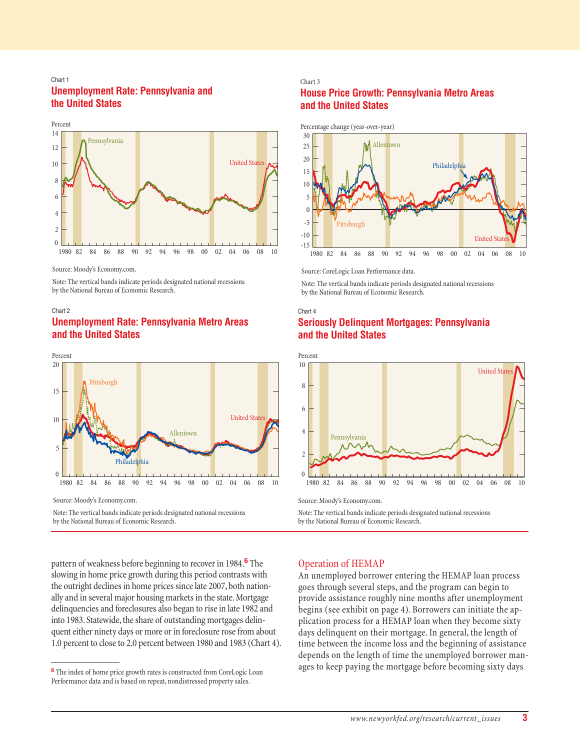## Chart 1 **Unemployment Rate: Pennsylvania and the United States**



Source: Moody's Economy.com.

Note: The vertical bands indicate periods designated national recessions by the National Bureau of Economic Research.

# Chart 2 **Unemployment Rate: Pennsylvania Metro Areas and the United States**



Source: Moody's Economy.com.

Note: The vertical bands indicate periods designated national recessions by the National Bureau of Economic Research.

Chart 3 **House Price Growth: Pennsylvania Metro Areas and the United States**



Source: CoreLogic Loan Performance data.

Note: The vertical bands indicate periods designated national recessions by the National Bureau of Economic Research.

# Chart 4 **Seriously Delinquent Mortgages: Pennsylvania and the United States**



Source: Moody's Economy.com.

Note: The vertical bands indicate periods designated national recessions by the National Bureau of Economic Research.

pattern of weakness before beginning to recover in 1984.**<sup>6</sup>** The slowing in home price growth during this period contrasts with the outright declines in home prices since late 2007, both nationally and in several major housing markets in the state. Mortgage delinquencies and foreclosures also began to rise in late 1982 and into 1983. Statewide, the share of outstanding mortgages delinquent either ninety days or more or in foreclosure rose from about 1.0 percent to close to 2.0 percent between 1980 and 1983 (Chart 4).

# Operation of HEMAP

An unemployed borrower entering the HEMAP loan process goes through several steps, and the program can begin to provide assistance roughly nine months after unemployment begins (see exhibit on page 4). Borrowers can initiate the application process for a HEMAP loan when they become sixty days delinquent on their mortgage. In general, the length of time between the income loss and the beginning of assistance depends on the length of time the unemployed borrower manages to keep paying the mortgage before becoming sixty days

**<sup>6</sup>**The index of home price growth rates is constructed from CoreLogic Loan Performance data and is based on repeat, nondistressed property sales.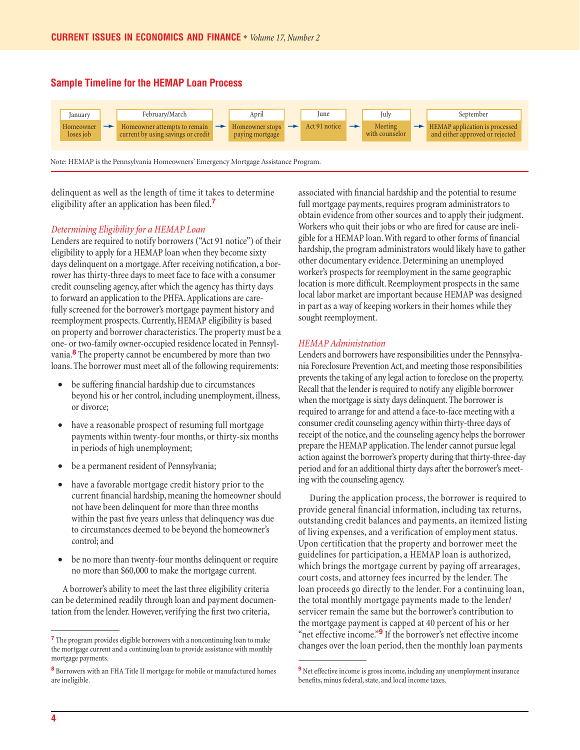# **Sample Timeline for the HEMAP Loan Process**



delinquent as well as the length of time it takes to determine eligibility after an application has been filed.<sup>7</sup>

#### *Determining Eligibility for a HEMAP Loan*

Lenders are required to notify borrowers ("Act 91 notice") of their eligibility to apply for a HEMAP loan when they become sixty days delinquent on a mortgage. After receiving notification, a borrower has thirty-three days to meet face to face with a consumer credit counseling agency, after which the agency has thirty days to forward an application to the PHFA. Applications are carefully screened for the borrower's mortgage payment history and reemployment prospects. Currently, HEMAP eligibility is based on property and borrower characteristics. The property must be a one- or two-family owner-occupied residence located in Pennsylvania.**8** The property cannot be encumbered by more than two loans. The borrower must meet all of the following requirements:

- be suffering financial hardship due to circumstances beyond his or her control, including unemployment, illness, or divorce;
- have a reasonable prospect of resuming full mortgage payments within twenty-four months, or thirty-six months in periods of high unemployment;
- be a permanent resident of Pennsylvania;
- have a favorable mortgage credit history prior to the current financial hardship, meaning the homeowner should not have been delinquent for more than three months within the past five years unless that delinquency was due to circumstances deemed to be beyond the homeowner's control; and
- be no more than twenty-four months delinquent or require no more than \$60,000 to make the mortgage current.

A borrower's ability to meet the last three eligibility criteria can be determined readily through loan and payment documentation from the lender. However, verifying the first two criteria,

associated with financial hardship and the potential to resume full mortgage payments, requires program administrators to obtain evidence from other sources and to apply their judgment. Workers who quit their jobs or who are fired for cause are ineligible for a HEMAP loan. With regard to other forms of financial hardship, the program administrators would likely have to gather other documentary evidence. Determining an unemployed worker's prospects for reemployment in the same geographic location is more difficult. Reemployment prospects in the same local labor market are important because HEMAP was designed in part as a way of keeping workers in their homes while they sought reemployment.

#### *HEMAP Administration*

Lenders and borrowers have responsibilities under the Pennsylvania Foreclosure Prevention Act, and meeting those responsibilities prevents the taking of any legal action to foreclose on the property. Recall that the lender is required to notify any eligible borrower when the mortgage is sixty days delinquent. The borrower is required to arrange for and attend a face-to-face meeting with a consumer credit counseling agency within thirty-three days of receipt of the notice, and the counseling agency helps the borrower prepare the HEMAP application. The lender cannot pursue legal action against the borrower's property during that thirty-three-day period and for an additional thirty days after the borrower's meeting with the counseling agency.

During the application process, the borrower is required to provide general financial information, including tax returns, outstanding credit balances and payments, an itemized listing of living expenses, and a verification of employment status. Upon certification that the property and borrower meet the guidelines for participation, a HEMAP loan is authorized, which brings the mortgage current by paying off arrearages, court costs, and attorney fees incurred by the lender. The loan proceeds go directly to the lender. For a continuing loan, the total monthly mortgage payments made to the lender/ servicer remain the same but the borrower's contribution to the mortgage payment is capped at 40 percent of his or her "net effective income."**9** If the borrower's net effective income changes over the loan period, then the monthly loan payments

**<sup>7</sup>**The program provides eligible borrowers with a noncontinuing loan to make the mortgage current and a continuing loan to provide assistance with monthly mortgage payments.

**<sup>8</sup>**Borrowers with an FHA Title II mortgage for mobile or manufactured homes are ineligible.

<sup>&</sup>lt;sup>9</sup>Net effective income is gross income, including any unemployment insurance benefits, minus federal, state, and local income taxes.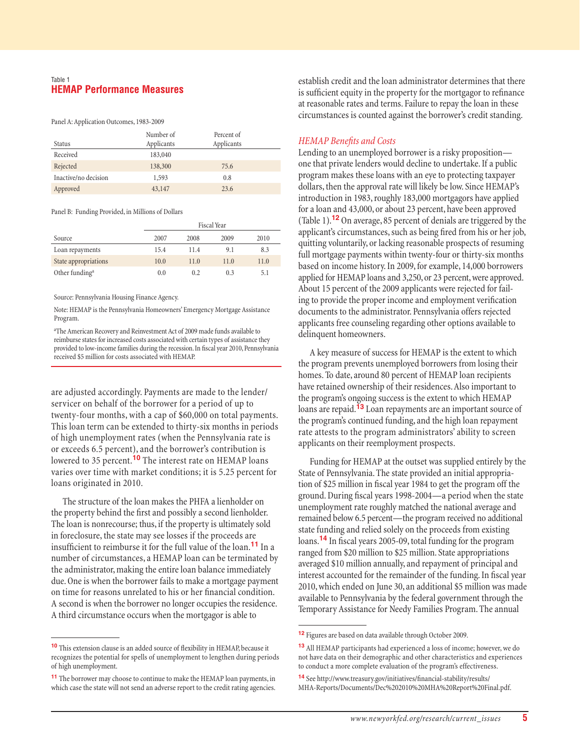## Table 1 **HEMAP Performance Measures**

Panel A: Application Outcomes, 1983-2009

| Status               | Number of<br>Applicants | Percent of<br>Applicants |  |
|----------------------|-------------------------|--------------------------|--|
| Received             | 183,040                 |                          |  |
| Rejected             | 138,300                 | 75.6                     |  |
| Inactive/no decision | 1,593                   | 0.8                      |  |
| Approved             | 43,147                  | 23.6                     |  |

Panel B: Funding Provided, in Millions of Dollars

|                            |      | Fiscal Year |      |      |
|----------------------------|------|-------------|------|------|
| Source                     | 2007 | 2008        | 2009 | 2010 |
| Loan repayments            | 15.4 | 11.4        | 9.1  | 8.3  |
| State appropriations       | 10.0 | 11.0        | 11.0 | 11.0 |
| Other funding <sup>a</sup> | 0.0  | 0.2         | 0.3  | 5.1  |

Source: Pennsylvania Housing Finance Agency.

Note: HEMAP is the Pennsylvania Homeowners' Emergency Mortgage Assistance Program.

<sup>a</sup>The American Recovery and Reinvestment Act of 2009 made funds available to reimburse states for increased costs associated with certain types of assistance they provided to low-income families during the recession. In fiscal year 2010, Pennsylvania received \$5 million for costs associated with HEMAP.

are adjusted accordingly. Payments are made to the lender/ servicer on behalf of the borrower for a period of up to twenty-four months, with a cap of \$60,000 on total payments. This loan term can be extended to thirty-six months in periods of high unemployment rates (when the Pennsylvania rate is or exceeds 6.5 percent), and the borrower's contribution is lowered to 35 percent.**10** The interest rate on HEMAP loans varies over time with market conditions; it is 5.25 percent for loans originated in 2010.

The structure of the loan makes the PHFA a lienholder on the property behind the first and possibly a second lienholder. The loan is nonrecourse; thus, if the property is ultimately sold in foreclosure, the state may see losses if the proceeds are insufficient to reimburse it for the full value of the loan.<sup>11</sup> In a number of circumstances, a HEMAP loan can be terminated by the administrator, making the entire loan balance immediately due. One is when the borrower fails to make a mortgage payment on time for reasons unrelated to his or her financial condition. A second is when the borrower no longer occupies the residence. A third circumstance occurs when the mortgagor is able to

establish credit and the loan administrator determines that there is sufficient equity in the property for the mortgagor to refinance at reasonable rates and terms. Failure to repay the loan in these circumstances is counted against the borrower's credit standing.

## **HEMAP Benefits and Costs**

Lending to an unemployed borrower is a risky proposition one that private lenders would decline to undertake. If a public program makes these loans with an eye to protecting taxpayer dollars, then the approval rate will likely be low. Since HEMAP's introduction in 1983, roughly 183,000 mortgagors have applied for a loan and 43,000, or about 23 percent, have been approved (Table 1).**12** On average, 85 percent of denials are triggered by the applicant's circumstances, such as being fired from his or her job, quitting voluntarily, or lacking reasonable prospects of resuming full mortgage payments within twenty-four or thirty-six months based on income history. In 2009, for example, 14,000 borrowers applied for HEMAP loans and 3,250, or 23 percent, were approved. About 15 percent of the 2009 applicants were rejected for failing to provide the proper income and employment verification documents to the administrator. Pennsylvania offers rejected applicants free counseling regarding other options available to delinquent homeowners.

A key measure of success for HEMAP is the extent to which the program prevents unemployed borrowers from losing their homes. To date, around 80 percent of HEMAP loan recipients have retained ownership of their residences. Also important to the program's ongoing success is the extent to which HEMAP loans are repaid.**13** Loan repayments are an important source of the program's continued funding, and the high loan repayment rate attests to the program administrators' ability to screen applicants on their reemployment prospects.

Funding for HEMAP at the outset was supplied entirely by the State of Pennsylvania. The state provided an initial appropriation of \$25 million in fiscal year 1984 to get the program off the ground. During fiscal years 1998-2004—a period when the state unemployment rate roughly matched the national average and remained below 6.5 percent—the program received no additional state funding and relied solely on the proceeds from existing loans.<sup>14</sup> In fiscal years 2005-09, total funding for the program ranged from \$20 million to \$25 million. State appropriations averaged \$10 million annually, and repayment of principal and interest accounted for the remainder of the funding. In fiscal year 2010, which ended on June 30, an additional \$5 million was made available to Pennsylvania by the federal government through the Temporary Assistance for Needy Families Program. The annual

<sup>&</sup>lt;sup>10</sup> This extension clause is an added source of flexibility in HEMAP, because it recognizes the potential for spells of unemployment to lengthen during periods of high unemployment.

**<sup>11</sup>**The borrower may choose to continue to make the HEMAP loan payments, in which case the state will not send an adverse report to the credit rating agencies.

**<sup>12</sup>**Figures are based on data available through October 2009.

**<sup>13</sup>**All HEMAP participants had experienced a loss of income; however, we do not have data on their demographic and other characteristics and experiences to conduct a more complete evaluation of the program's effectiveness.

<sup>&</sup>lt;sup>14</sup> See http://www.treasury.gov/initiatives/financial-stability/results/ MHA-Reports/Documents/Dec%202010%20MHA%20Report%20Final.pdf.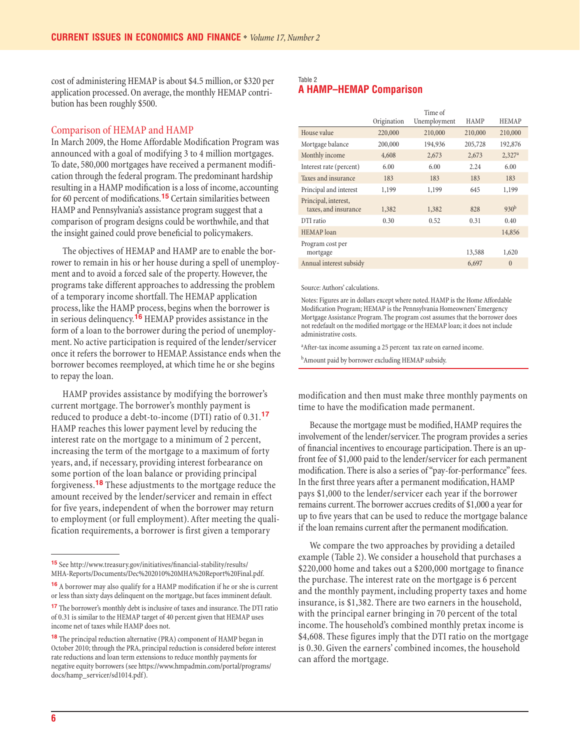cost of administering HEMAP is about \$4.5 million, or \$320 per application processed. On average, the monthly HEMAP contribution has been roughly \$500.

## Comparison of HEMAP and HAMP

In March 2009, the Home Affordable Modification Program was announced with a goal of modifying 3 to 4 million mortgages. To date, 580,000 mortgages have received a permanent modification through the federal program. The predominant hardship resulting in a HAMP modification is a loss of income, accounting for 60 percent of modifications.<sup>15</sup> Certain similarities between HAMP and Pennsylvania's assistance program suggest that a comparison of program designs could be worthwhile, and that the insight gained could prove beneficial to policymakers.

The objectives of HEMAP and HAMP are to enable the borrower to remain in his or her house during a spell of unemployment and to avoid a forced sale of the property. However, the programs take different approaches to addressing the problem of a temporary income shortfall. The HEMAP application process, like the HAMP process, begins when the borrower is in serious delinquency.**16** HEMAP provides assistance in the form of a loan to the borrower during the period of unemployment. No active participation is required of the lender/servicer once it refers the borrower to HEMAP. Assistance ends when the borrower becomes reemployed, at which time he or she begins to repay the loan.

HAMP provides assistance by modifying the borrower's current mortgage. The borrower's monthly payment is reduced to produce a debt-to-income (DTI) ratio of 0.31.**<sup>17</sup>** HAMP reaches this lower payment level by reducing the interest rate on the mortgage to a minimum of 2 percent, increasing the term of the mortgage to a maximum of forty years, and, if necessary, providing interest forbearance on some portion of the loan balance or providing principal forgiveness.**18** These adjustments to the mortgage reduce the amount received by the lender/servicer and remain in effect for five years, independent of when the borrower may return to employment (or full employment). After meeting the qualification requirements, a borrower is first given a temporary

## Table 2 **A HAMP–HEMAP Comparison**

|                                              | Origination | Time of<br>Unemployment | <b>HAMP</b> | <b>HEMAP</b>         |
|----------------------------------------------|-------------|-------------------------|-------------|----------------------|
| House value                                  | 220,000     | 210,000                 | 210,000     | 210,000              |
| Mortgage balance                             | 200,000     | 194,936                 | 205,728     | 192,876              |
| Monthly income                               | 4,608       | 2,673                   | 2,673       | $2,327$ <sup>a</sup> |
| Interest rate (percent)                      | 6.00        | 6.00                    | 2.24        | 6.00                 |
| Taxes and insurance                          | 183         | 183                     | 183         | 183                  |
| Principal and interest                       | 1,199       | 1,199                   | 645         | 1,199                |
| Principal, interest,<br>taxes, and insurance | 1,382       | 1,382                   | 828         | 930 <sup>b</sup>     |
| DTI ratio                                    | 0.30        | 0.52                    | 0.31        | 0.40                 |
| HEMAP loan                                   |             |                         |             | 14,856               |
| Program cost per<br>mortgage                 |             |                         | 13,588      | 1,620                |
| Annual interest subsidy                      |             |                         | 6,697       | $\theta$             |

Source: Authors' calculations.

Notes: Figures are in dollars except where noted. HAMP is the Home Affordable Modification Program; HEMAP is the Pennsylvania Homeowners' Emergency Mortgage Assistance Program. The program cost assumes that the borrower does not redefault on the modified mortgage or the HEMAP loan; it does not include administrative costs.

a After-tax income assuming a 25 percent tax rate on earned income.

<sup>b</sup>Amount paid by borrower excluding HEMAP subsidy.

modification and then must make three monthly payments on time to have the modification made permanent.

Because the mortgage must be modified, HAMP requires the involvement of the lender/servicer. The program provides a series of financial incentives to encourage participation. There is an upfront fee of \$1,000 paid to the lender/servicer for each permanent modification. There is also a series of "pay-for-performance" fees. In the first three years after a permanent modification, HAMP pays \$1,000 to the lender/servicer each year if the borrower remains current. The borrower accrues credits of \$1,000 a year for up to five years that can be used to reduce the mortgage balance if the loan remains current after the permanent modification.

We compare the two approaches by providing a detailed example (Table 2). We consider a household that purchases a \$220,000 home and takes out a \$200,000 mortgage to finance the purchase. The interest rate on the mortgage is 6 percent and the monthly payment, including property taxes and home insurance, is \$1,382. There are two earners in the household, with the principal earner bringing in 70 percent of the total income. The household's combined monthly pretax income is \$4,608. These figures imply that the DTI ratio on the mortgage is 0.30. Given the earners' combined incomes, the household can afford the mortgage.

 $\texttt{15}$  See http://www.treasury.gov/initiatives/financial-stability/results/ MHA-Reports/Documents/Dec%202010%20MHA%20Report%20Final.pdf.

**<sup>16</sup>** A borrower may also qualify for a HAMP modification if he or she is current or less than sixty days delinquent on the mortgage, but faces imminent default.

**<sup>17</sup>**The borrower's monthly debt is inclusive of taxes and insurance. The DTI ratio of 0.31 is similar to the HEMAP target of 40 percent given that HEMAP uses income net of taxes while HAMP does not.

**<sup>18</sup>**The principal reduction alternative (PRA) component of HAMP began in October 2010; through the PRA, principal reduction is considered before interest rate reductions and loan term extensions to reduce monthly payments for negative equity borrowers (see https://www.hmpadmin.com/portal/programs/ docs/hamp\_servicer/sd1014.pdf).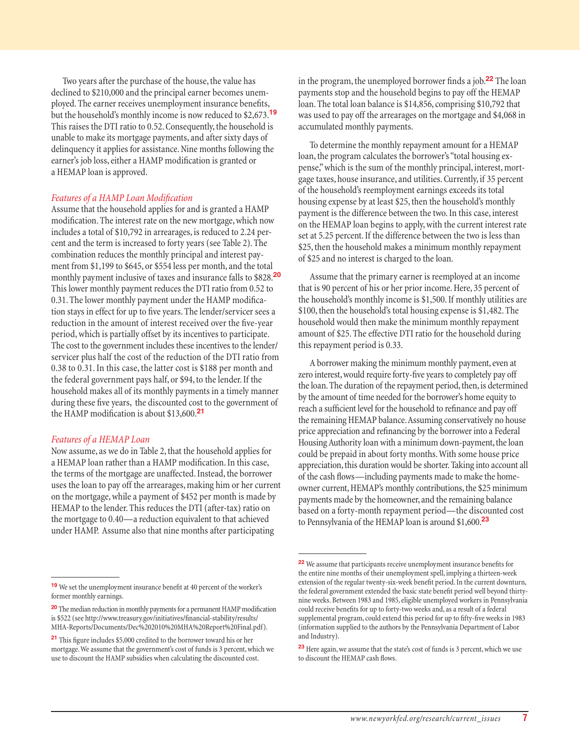Two years after the purchase of the house, the value has declined to \$210,000 and the principal earner becomes unemployed. The earner receives unemployment insurance benefits, but the household's monthly income is now reduced to \$2,673.**<sup>19</sup>** This raises the DTI ratio to 0.52. Consequently, the household is unable to make its mortgage payments, and after sixty days of delinquency it applies for assistance. Nine months following the earner's job loss, either a HAMP modification is granted or a HEMAP loan is approved.

## **Features of a HAMP Loan Modification**

Assume that the household applies for and is granted a HAMP modification. The interest rate on the new mortgage, which now includes a total of \$10,792 in arrearages, is reduced to 2.24 percent and the term is increased to forty years (see Table 2). The combination reduces the monthly principal and interest payment from \$1,199 to \$645, or \$554 less per month, and the total monthly payment inclusive of taxes and insurance falls to \$828.**<sup>20</sup>** This lower monthly payment reduces the DTI ratio from 0.52 to 0.31. The lower monthly payment under the HAMP modification stays in effect for up to five years. The lender/servicer sees a reduction in the amount of interest received over the five-year period, which is partially offset by its incentives to participate. The cost to the government includes these incentives to the lender/ servicer plus half the cost of the reduction of the DTI ratio from 0.38 to 0.31. In this case, the latter cost is \$188 per month and the federal government pays half, or \$94, to the lender. If the household makes all of its monthly payments in a timely manner during these five years, the discounted cost to the government of the HAMP modification is about  $$13,600$ .<sup>21</sup>

#### *Features of a HEMAP Loan*

Now assume, as we do in Table 2, that the household applies for a HEMAP loan rather than a HAMP modification. In this case, the terms of the mortgage are unaffected. Instead, the borrower uses the loan to pay off the arrearages, making him or her current on the mortgage, while a payment of \$452 per month is made by HEMAP to the lender. This reduces the DTI (after-tax) ratio on the mortgage to 0.40—a reduction equivalent to that achieved under HAMP. Assume also that nine months after participating

in the program, the unemployed borrower finds a job.<sup>22</sup> The loan payments stop and the household begins to pay off the HEMAP loan. The total loan balance is \$14,856, comprising \$10,792 that was used to pay off the arrearages on the mortgage and \$4,068 in accumulated monthly payments.

To determine the monthly repayment amount for a HEMAP loan, the program calculates the borrower's "total housing expense," which is the sum of the monthly principal, interest, mortgage taxes, house insurance, and utilities. Currently, if 35 percent of the household's reemployment earnings exceeds its total housing expense by at least \$25, then the household's monthly payment is the difference between the two. In this case, interest on the HEMAP loan begins to apply, with the current interest rate set at 5.25 percent. If the difference between the two is less than \$25, then the household makes a minimum monthly repayment of \$25 and no interest is charged to the loan.

Assume that the primary earner is reemployed at an income that is 90 percent of his or her prior income. Here, 35 percent of the household's monthly income is \$1,500. If monthly utilities are \$100, then the household's total housing expense is \$1,482. The household would then make the minimum monthly repayment amount of \$25. The effective DTI ratio for the household during this repayment period is 0.33.

A borrower making the minimum monthly payment, even at zero interest, would require forty-five years to completely pay off the loan. The duration of the repayment period, then, is determined by the amount of time needed for the borrower's home equity to reach a sufficient level for the household to refinance and pay off the remaining HEMAP balance. Assuming conservatively no house price appreciation and refinancing by the borrower into a Federal Housing Authority loan with a minimum down-payment, the loan could be prepaid in about forty months. With some house price appreciation, this duration would be shorter. Taking into account all of the cash flows—including payments made to make the homeowner current, HEMAP's monthly contributions, the \$25 minimum payments made by the homeowner, and the remaining balance based on a forty-month repayment period—the discounted cost to Pennsylvania of the HEMAP loan is around \$1,600.**<sup>23</sup>**

<sup>&</sup>lt;sup>19</sup> We set the unemployment insurance benefit at 40 percent of the worker's former monthly earnings.

**<sup>20</sup>** The median reduction in monthly payments for a permanent HAMP modification is \$522 (see http://www.treasury.gov/initiatives/financial-stability/results/ MHA-Reports/Documents/Dec%202010%20MHA%20Report%20Final.pdf).

**<sup>21</sup>** This figure includes \$5,000 credited to the borrower toward his or her mortgage. We assume that the government's cost of funds is 3 percent, which we use to discount the HAMP subsidies when calculating the discounted cost.

**<sup>22</sup>** We assume that participants receive unemployment insurance benefits for the entire nine months of their unemployment spell, implying a thirteen-week extension of the regular twenty-six-week benefit period. In the current downturn, the federal government extended the basic state benefit period well beyond thirtynine weeks. Between 1983 and 1985, eligible unemployed workers in Pennsylvania could receive benefits for up to forty-two weeks and, as a result of a federal supplemental program, could extend this period for up to fifty-five weeks in 1983 (information supplied to the authors by the Pennsylvania Department of Labor and Industry).

**<sup>23</sup>**Here again, we assume that the state's cost of funds is 3 percent, which we use to discount the HEMAP cash flows.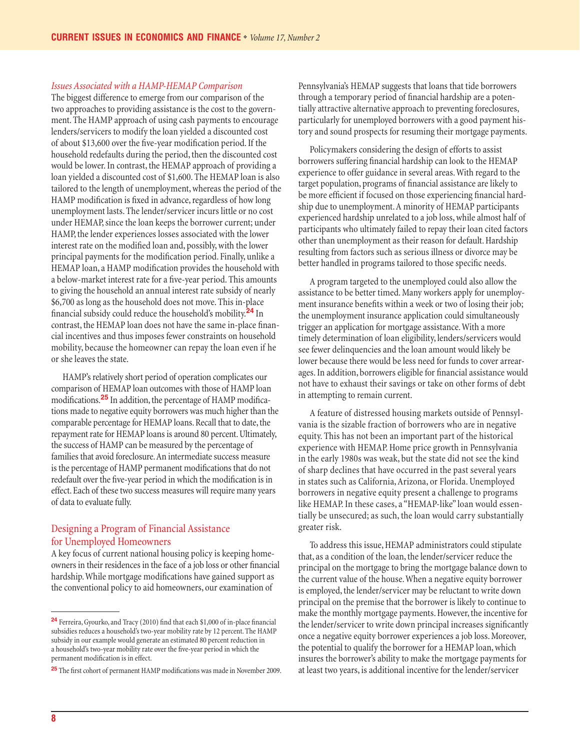#### *Issues Associated with a HAMP-HEMAP Comparison*

The biggest difference to emerge from our comparison of the two approaches to providing assistance is the cost to the government. The HAMP approach of using cash payments to encourage lenders/servicers to modify the loan yielded a discounted cost of about \$13,600 over the five-year modification period. If the household redefaults during the period, then the discounted cost would be lower. In contrast, the HEMAP approach of providing a loan yielded a discounted cost of \$1,600. The HEMAP loan is also tailored to the length of unemployment, whereas the period of the HAMP modification is fixed in advance, regardless of how long unemployment lasts. The lender/servicer incurs little or no cost under HEMAP, since the loan keeps the borrower current; under HAMP, the lender experiences losses associated with the lower interest rate on the modified loan and, possibly, with the lower principal payments for the modification period. Finally, unlike a HEMAP loan, a HAMP modification provides the household with a below-market interest rate for a five-year period. This amounts to giving the household an annual interest rate subsidy of nearly \$6,700 as long as the household does not move. This in-place fi nancial subsidy could reduce the household's mobility.**24** In contrast, the HEMAP loan does not have the same in-place financial incentives and thus imposes fewer constraints on household mobility, because the homeowner can repay the loan even if he or she leaves the state.

HAMP's relatively short period of operation complicates our comparison of HEMAP loan outcomes with those of HAMP loan modifications.<sup>25</sup> In addition, the percentage of HAMP modifications made to negative equity borrowers was much higher than the comparable percentage for HEMAP loans. Recall that to date, the repayment rate for HEMAP loans is around 80 percent. Ultimately, the success of HAMP can be measured by the percentage of families that avoid foreclosure. An intermediate success measure is the percentage of HAMP permanent modifications that do not redefault over the five-year period in which the modification is in effect. Each of these two success measures will require many years of data to evaluate fully.

# Designing a Program of Financial Assistance for Unemployed Homeowners

A key focus of current national housing policy is keeping homeowners in their residences in the face of a job loss or other financial hardship. While mortgage modifications have gained support as the conventional policy to aid homeowners, our examination of

Pennsylvania's HEMAP suggests that loans that tide borrowers through a temporary period of financial hardship are a potentially attractive alternative approach to preventing foreclosures, particularly for unemployed borrowers with a good payment history and sound prospects for resuming their mortgage payments.

Policymakers considering the design of efforts to assist borrowers suffering financial hardship can look to the HEMAP experience to offer guidance in several areas. With regard to the target population, programs of financial assistance are likely to be more efficient if focused on those experiencing financial hardship due to unemployment. A minority of HEMAP participants experienced hardship unrelated to a job loss, while almost half of participants who ultimately failed to repay their loan cited factors other than unemployment as their reason for default. Hardship resulting from factors such as serious illness or divorce may be better handled in programs tailored to those specific needs.

A program targeted to the unemployed could also allow the assistance to be better timed. Many workers apply for unemployment insurance benefits within a week or two of losing their job; the unemployment insurance application could simultaneously trigger an application for mortgage assistance. With a more timely determination of loan eligibility, lenders/servicers would see fewer delinquencies and the loan amount would likely be lower because there would be less need for funds to cover arrearages. In addition, borrowers eligible for financial assistance would not have to exhaust their savings or take on other forms of debt in attempting to remain current.

A feature of distressed housing markets outside of Pennsylvania is the sizable fraction of borrowers who are in negative equity. This has not been an important part of the historical experience with HEMAP. Home price growth in Pennsylvania in the early 1980s was weak, but the state did not see the kind of sharp declines that have occurred in the past several years in states such as California, Arizona, or Florida. Unemployed borrowers in negative equity present a challenge to programs like HEMAP. In these cases, a "HEMAP-like" loan would essentially be unsecured; as such, the loan would carry substantially greater risk.

To address this issue, HEMAP administrators could stipulate that, as a condition of the loan, the lender/servicer reduce the principal on the mortgage to bring the mortgage balance down to the current value of the house. When a negative equity borrower is employed, the lender/servicer may be reluctant to write down principal on the premise that the borrower is likely to continue to make the monthly mortgage payments. However, the incentive for the lender/servicer to write down principal increases significantly once a negative equity borrower experiences a job loss. Moreover, the potential to qualify the borrower for a HEMAP loan, which insures the borrower's ability to make the mortgage payments for at least two years, is additional incentive for the lender/servicer

<sup>&</sup>lt;sup>24</sup> Ferreira, Gyourko, and Tracy (2010) find that each \$1,000 of in-place financial subsidies reduces a household's two-year mobility rate by 12 percent. The HAMP subsidy in our example would generate an estimated 80 percent reduction in a household's two-year mobility rate over the five-year period in which the permanent modification is in effect.

<sup>&</sup>lt;sup>25</sup> The first cohort of permanent HAMP modifications was made in November 2009.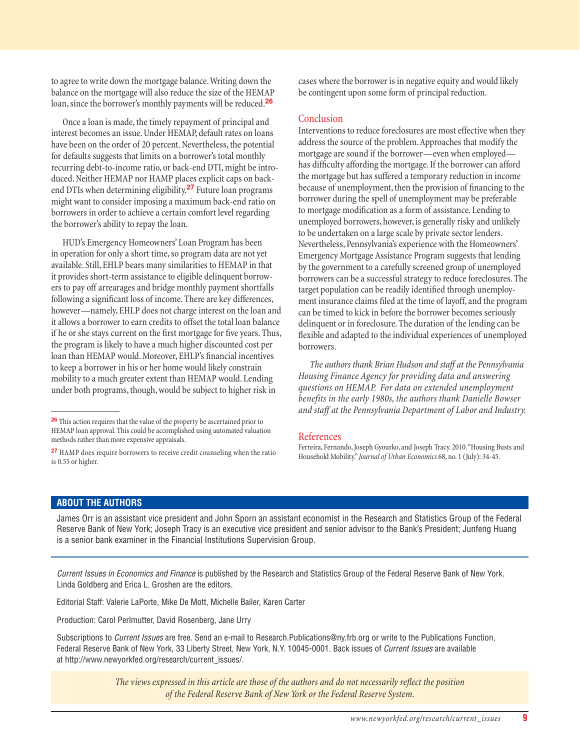to agree to write down the mortgage balance. Writing down the balance on the mortgage will also reduce the size of the HEMAP loan, since the borrower's monthly payments will be reduced.**<sup>26</sup>**

Once a loan is made, the timely repayment of principal and interest becomes an issue. Under HEMAP, default rates on loans have been on the order of 20 percent. Nevertheless, the potential for defaults suggests that limits on a borrower's total monthly recurring debt-to-income ratio, or back-end DTI, might be introduced. Neither HEMAP nor HAMP places explicit caps on backend DTIs when determining eligibility.**27** Future loan programs might want to consider imposing a maximum back-end ratio on borrowers in order to achieve a certain comfort level regarding the borrower's ability to repay the loan.

HUD's Emergency Homeowners' Loan Program has been in operation for only a short time, so program data are not yet available. Still, EHLP bears many similarities to HEMAP in that it provides short-term assistance to eligible delinquent borrowers to pay off arrearages and bridge monthly payment shortfalls following a significant loss of income. There are key differences, however—namely, EHLP does not charge interest on the loan and it allows a borrower to earn credits to offset the total loan balance if he or she stays current on the first mortgage for five years. Thus, the program is likely to have a much higher discounted cost per loan than HEMAP would. Moreover, EHLP's financial incentives to keep a borrower in his or her home would likely constrain mobility to a much greater extent than HEMAP would. Lending under both programs, though, would be subject to higher risk in

cases where the borrower is in negative equity and would likely be contingent upon some form of principal reduction.

# Conclusion

Interventions to reduce foreclosures are most effective when they address the source of the problem. Approaches that modify the mortgage are sound if the borrower—even when employed has difficulty affording the mortgage. If the borrower can afford the mortgage but has suffered a temporary reduction in income because of unemployment, then the provision of financing to the borrower during the spell of unemployment may be preferable to mortgage modification as a form of assistance. Lending to unemployed borrowers, however, is generally risky and unlikely to be undertaken on a large scale by private sector lenders. Nevertheless, Pennsylvania's experience with the Homeowners' Emergency Mortgage Assistance Program suggests that lending by the government to a carefully screened group of unemployed borrowers can be a successful strategy to reduce foreclosures. The target population can be readily identified through unemployment insurance claims filed at the time of layoff, and the program can be timed to kick in before the borrower becomes seriously delinquent or in foreclosure. The duration of the lending can be flexible and adapted to the individual experiences of unemployed borrowers.

*The authors thank Brian Hudson and staff at the Pennsylvania Housing Finance Agency for providing data and answering questions on HEMAP. For data on extended unemployment benefits in the early 1980s, the authors thank Danielle Bowser and staff at the Pennsylvania Department of Labor and Industry.*

#### References

Ferreira, Fernando, Joseph Gyourko, and Joseph Tracy. 2010. "Housing Busts and Household Mobility." *Journal of Urban Economics* 68, no. 1 (July): 34-45.

# **ABOUT THE AUTHORS**

James Orr is an assistant vice president and John Sporn an assistant economist in the Research and Statistics Group of the Federal Reserve Bank of New York; Joseph Tracy is an executive vice president and senior advisor to the Bank's President; Junfeng Huang is a senior bank examiner in the Financial Institutions Supervision Group.

*Current Issues in Economics and Finance* is published by the Research and Statistics Group of the Federal Reserve Bank of New York. Linda Goldberg and Erica L. Groshen are the editors.

Editorial Staff: Valerie LaPorte, Mike De Mott, Michelle Bailer, Karen Carter

Production: Carol Perlmutter, David Rosenberg, Jane Urry

Subscriptions to *Current Issues* are free. Send an e-mail to Research.Publications@ny.frb.org or write to the Publications Function, Federal Reserve Bank of New York, 33 Liberty Street, New York, N.Y. 10045-0001. Back issues of *Current Issues* are available at http://www.newyorkfed.org/research/current\_issues/.

> *The views expressed in this article are those of the authors and do not necessarily reflect the position of the Federal Reserve Bank of New York or the Federal Reserve System.*

**<sup>26</sup>**This action requires that the value of the property be ascertained prior to HEMAP loan approval. This could be accomplished using automated valuation methods rather than more expensive appraisals.

**<sup>27</sup>**HAMP does require borrowers to receive credit counseling when the ratio is 0.55 or higher.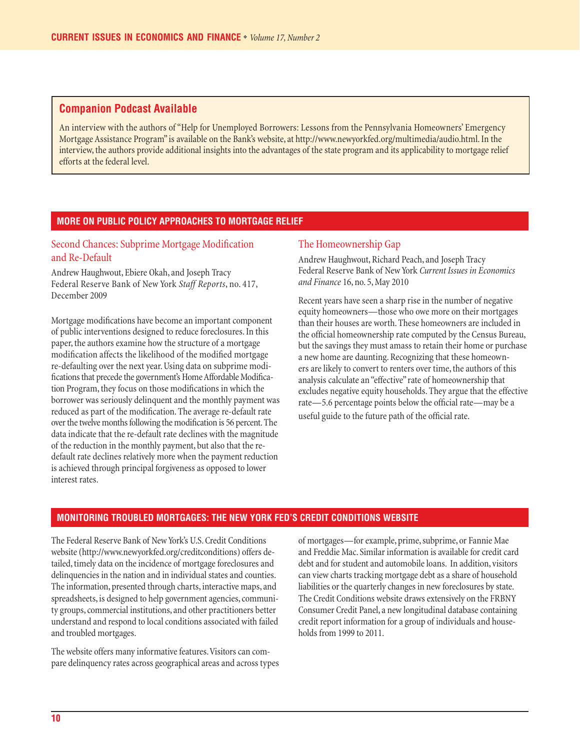# **Companion Podcast Available**

An interview with the authors of "Help for Unemployed Borrowers: Lessons from the Pennsylvania Homeowners' Emergency Mortgage Assistance Program" is available on the Bank's website, at http://www.newyorkfed.org/multimedia/audio.html. In the interview, the authors provide additional insights into the advantages of the state program and its applicability to mortgage relief efforts at the federal level.

## **MORE ON PUBLIC POLICY APPROACHES TO MORTGAGE RELIEF**

# Second Chances: Subprime Mortgage Modification and Re-Default

Andrew Haughwout, Ebiere Okah, and Joseph Tracy Federal Reserve Bank of New York *Staff Reports*, no. 417, December 2009

Mortgage modifications have become an important component of public interventions designed to reduce foreclosures. In this paper, the authors examine how the structure of a mortgage modification affects the likelihood of the modified mortgage re-defaulting over the next year. Using data on subprime modifications that precede the government's Home Affordable Modification Program, they focus on those modifications in which the borrower was seriously delinquent and the monthly payment was reduced as part of the modification. The average re-default rate over the twelve months following the modification is 56 percent. The data indicate that the re-default rate declines with the magnitude of the reduction in the monthly payment, but also that the redefault rate declines relatively more when the payment reduction is achieved through principal forgiveness as opposed to lower interest rates.

## The Homeownership Gap

Andrew Haughwout, Richard Peach, and Joseph Tracy Federal Reserve Bank of New York *Current Issues in Economics and Finance* 16, no. 5, May 2010

Recent years have seen a sharp rise in the number of negative equity homeowners—those who owe more on their mortgages than their houses are worth. These homeowners are included in the official homeownership rate computed by the Census Bureau, but the savings they must amass to retain their home or purchase a new home are daunting. Recognizing that these homeowners are likely to convert to renters over time, the authors of this analysis calculate an "effective" rate of homeownership that excludes negative equity households. They argue that the effective rate—5.6 percentage points below the official rate—may be a useful guide to the future path of the official rate.

## **MONITORING TROUBLED MORTGAGES: THE NEW YORK FED'S CREDIT CONDITIONS WEBSITE**

The Federal Reserve Bank of New York's U.S. Credit Conditions website (http://www.newyorkfed.org/creditconditions) offers detailed, timely data on the incidence of mortgage foreclosures and delinquencies in the nation and in individual states and counties. The information, presented through charts, interactive maps, and spreadsheets, is designed to help government agencies, community groups, commercial institutions, and other practitioners better understand and respond to local conditions associated with failed and troubled mortgages.

The website offers many informative features. Visitors can compare delinquency rates across geographical areas and across types of mortgages—for example, prime, subprime, or Fannie Mae and Freddie Mac. Similar information is available for credit card debt and for student and automobile loans. In addition, visitors can view charts tracking mortgage debt as a share of household liabilities or the quarterly changes in new foreclosures by state. The Credit Conditions website draws extensively on the FRBNY Consumer Credit Panel, a new longitudinal database containing credit report information for a group of individuals and households from 1999 to 2011.